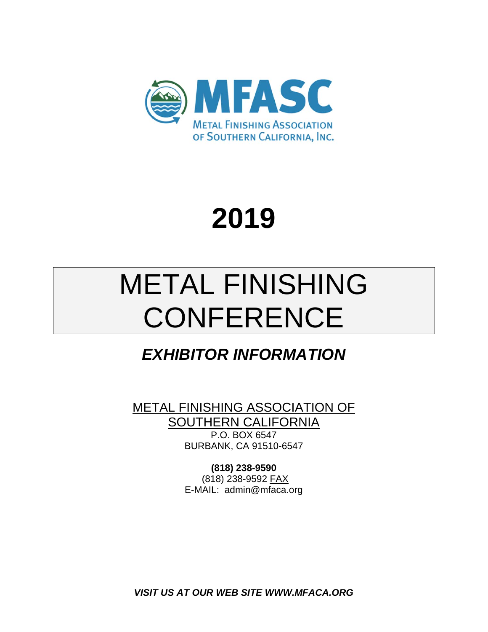

# **2019**

# METAL FINISHING **CONFERENCE**

# *EXHIBITOR INFORMATION*

METAL FINISHING ASSOCIATION OF **SOUTHERN CALIFORNIA** 

P.O. BOX 6547 BURBANK, CA 91510-6547

**(818) 238-9590**  (818) 238-9592 FAX E-MAIL: admin@mfaca.org

*VISIT US AT OUR WEB SITE WWW.MFACA.ORG*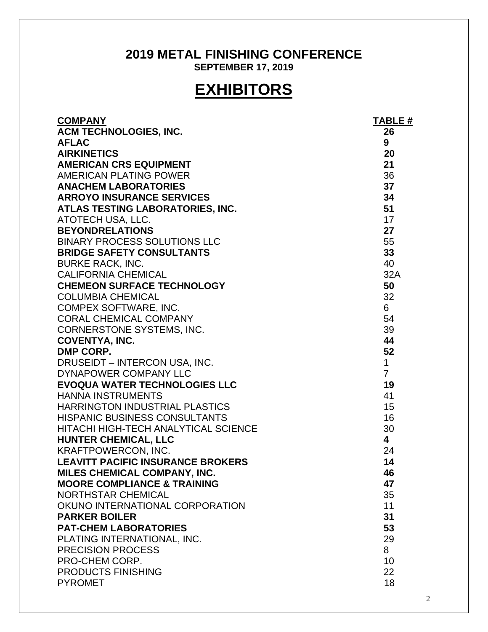## **2019 METAL FINISHING CONFERENCE SEPTEMBER 17, 2019**

# **EXHIBITORS**

| <b>COMPANY</b>                                          | <b>TABLE #</b>          |
|---------------------------------------------------------|-------------------------|
| ACM TECHNOLOGIES, INC.                                  | 26                      |
| <b>AFLAC</b>                                            | 9                       |
| <b>AIRKINETICS</b>                                      | 20                      |
| <b>AMERICAN CRS EQUIPMENT</b>                           | 21                      |
| AMERICAN PLATING POWER                                  | 36                      |
| <b>ANACHEM LABORATORIES</b>                             | 37                      |
| <b>ARROYO INSURANCE SERVICES</b>                        | 34                      |
| ATLAS TESTING LABORATORIES, INC.                        | 51                      |
| ATOTECH USA, LLC.                                       | 17                      |
| <b>BEYONDRELATIONS</b>                                  | 27                      |
| <b>BINARY PROCESS SOLUTIONS LLC</b>                     | 55                      |
| <b>BRIDGE SAFETY CONSULTANTS</b>                        | 33                      |
| <b>BURKE RACK, INC.</b>                                 | 40                      |
| <b>CALIFORNIA CHEMICAL</b>                              | 32A                     |
| <b>CHEMEON SURFACE TECHNOLOGY</b>                       | 50                      |
| <b>COLUMBIA CHEMICAL</b>                                | 32                      |
| COMPEX SOFTWARE, INC.                                   | 6                       |
| <b>CORAL CHEMICAL COMPANY</b>                           | 54                      |
| CORNERSTONE SYSTEMS, INC.                               | 39                      |
| <b>COVENTYA, INC.</b>                                   | 44                      |
| DMP CORP.                                               | 52                      |
| DRUSEIDT - INTERCON USA, INC.                           | $\mathbf{1}$            |
| DYNAPOWER COMPANY LLC                                   | $\overline{7}$          |
| <b>EVOQUA WATER TECHNOLOGIES LLC</b>                    | 19                      |
| <b>HANNA INSTRUMENTS</b>                                | 41                      |
| <b>HARRINGTON INDUSTRIAL PLASTICS</b>                   | 15                      |
| <b>HISPANIC BUSINESS CONSULTANTS</b>                    | 16                      |
| HITACHI HIGH-TECH ANALYTICAL SCIENCE                    | 30                      |
| <b>HUNTER CHEMICAL, LLC</b>                             | $\overline{\mathbf{4}}$ |
| <b>KRAFTPOWERCON, INC.</b>                              | 24                      |
| <b>LEAVITT PACIFIC INSURANCE BROKERS</b>                | 14                      |
| MILES CHEMICAL COMPANY, INC.                            | 46                      |
| <b>MOORE COMPLIANCE &amp; TRAINING</b>                  | 47                      |
| <b>NORTHSTAR CHEMICAL</b>                               | 35                      |
| OKUNO INTERNATIONAL CORPORATION                         | 11                      |
| <b>PARKER BOILER</b>                                    | 31                      |
| <b>PAT-CHEM LABORATORIES</b>                            | 53                      |
| PLATING INTERNATIONAL, INC.<br><b>PRECISION PROCESS</b> | 29<br>8                 |
| PRO-CHEM CORP.                                          |                         |
| <b>PRODUCTS FINISHING</b>                               | 10<br>22                |
| <b>PYROMET</b>                                          | 18                      |
|                                                         |                         |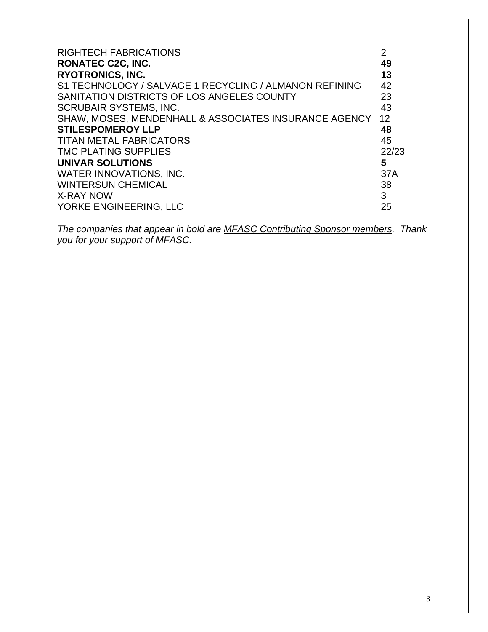| <b>RIGHTECH FABRICATIONS</b>                           | 2     |
|--------------------------------------------------------|-------|
| <b>RONATEC C2C, INC.</b>                               | 49    |
| <b>RYOTRONICS, INC.</b>                                | 13    |
| S1 TECHNOLOGY / SALVAGE 1 RECYCLING / ALMANON REFINING | 42    |
| SANITATION DISTRICTS OF LOS ANGELES COUNTY             | 23    |
| <b>SCRUBAIR SYSTEMS, INC.</b>                          | 43    |
| SHAW, MOSES, MENDENHALL & ASSOCIATES INSURANCE AGENCY  | 12    |
| <b>STILESPOMEROY LLP</b>                               | 48    |
| <b>TITAN METAL FABRICATORS</b>                         | 45    |
| <b>TMC PLATING SUPPLIES</b>                            | 22/23 |
| UNIVAR SOLUTIONS                                       | 5     |
| WATER INNOVATIONS, INC.                                | 37A   |
| <b>WINTERSUN CHEMICAL</b>                              | 38    |
| <b>X-RAY NOW</b>                                       | 3     |
| YORKE ENGINEERING, LLC                                 | 25    |

*The companies that appear in bold are MFASC Contributing Sponsor members. Thank you for your support of MFASC.*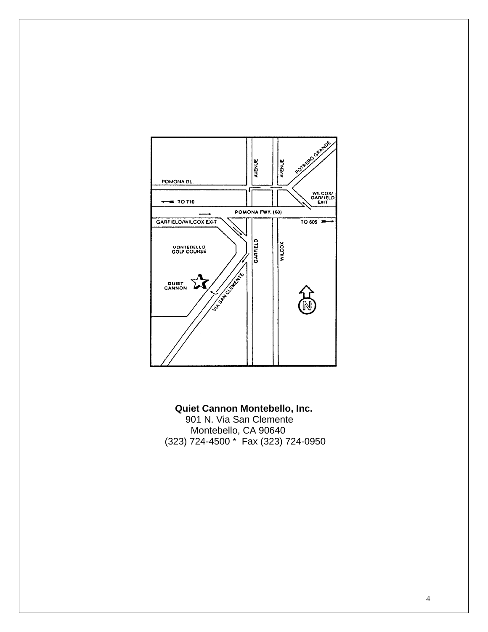

**Quiet Cannon Montebello, Inc.**  901 N. Via San Clemente Montebello, CA 90640 (323) 724-4500 \* Fax (323) 724-0950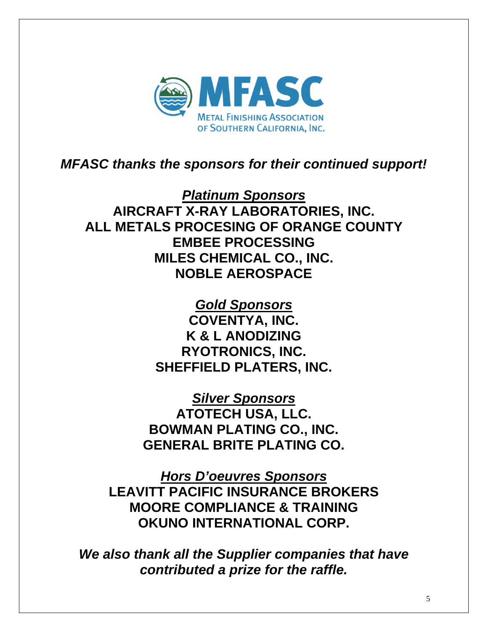

# *MFASC thanks the sponsors for their continued support!*

*Platinum Sponsors* **AIRCRAFT X-RAY LABORATORIES, INC. ALL METALS PROCESING OF ORANGE COUNTY EMBEE PROCESSING MILES CHEMICAL CO., INC. NOBLE AEROSPACE** 

> *Gold Sponsors*  **COVENTYA, INC. K & L ANODIZING RYOTRONICS, INC. SHEFFIELD PLATERS, INC.**

*Silver Sponsors*  **ATOTECH USA, LLC. BOWMAN PLATING CO., INC. GENERAL BRITE PLATING CO.** 

*Hors D'oeuvres Sponsors*  **LEAVITT PACIFIC INSURANCE BROKERS MOORE COMPLIANCE & TRAINING OKUNO INTERNATIONAL CORP.**

*We also thank all the Supplier companies that have contributed a prize for the raffle.*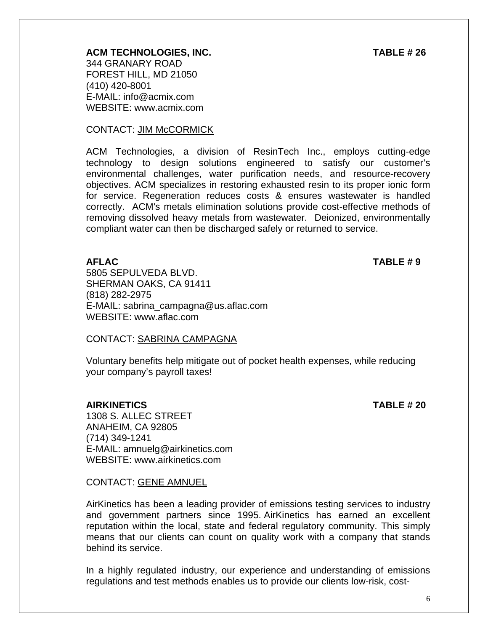### **ACM TECHNOLOGIES, INC. TABLE # 26**

344 GRANARY ROAD FOREST HILL, MD 21050 (410) 420-8001 E-MAIL: info@acmix.com WEBSITE: www.acmix.com

#### CONTACT: JIM McCORMICK

ACM Technologies, a division of ResinTech Inc., employs cutting-edge technology to design solutions engineered to satisfy our customer's environmental challenges, water purification needs, and resource-recovery objectives. ACM specializes in restoring exhausted resin to its proper ionic form for service. Regeneration reduces costs & ensures wastewater is handled correctly. ACM's metals elimination solutions provide cost-effective methods of removing dissolved heavy metals from wastewater. Deionized, environmentally compliant water can then be discharged safely or returned to service.

**AFLAC TABLE # 9** 

5805 SEPULVEDA BLVD. SHERMAN OAKS, CA 91411 (818) 282-2975 E-MAIL: sabrina\_campagna@us.aflac.com WEBSITE: www.aflac.com

#### CONTACT: SABRINA CAMPAGNA

Voluntary benefits help mitigate out of pocket health expenses, while reducing your company's payroll taxes!

### **AIRKINETICS TABLE # 20**

1308 S. ALLEC STREET ANAHEIM, CA 92805 (714) 349-1241 E-MAIL: amnuelg@airkinetics.com WEBSITE: www.airkinetics.com

#### CONTACT: GENE AMNUEL

AirKinetics has been a leading provider of emissions testing services to industry and government partners since 1995. AirKinetics has earned an excellent reputation within the local, state and federal regulatory community. This simply means that our clients can count on quality work with a company that stands behind its service.

In a highly regulated industry, our experience and understanding of emissions regulations and test methods enables us to provide our clients low-risk, cost-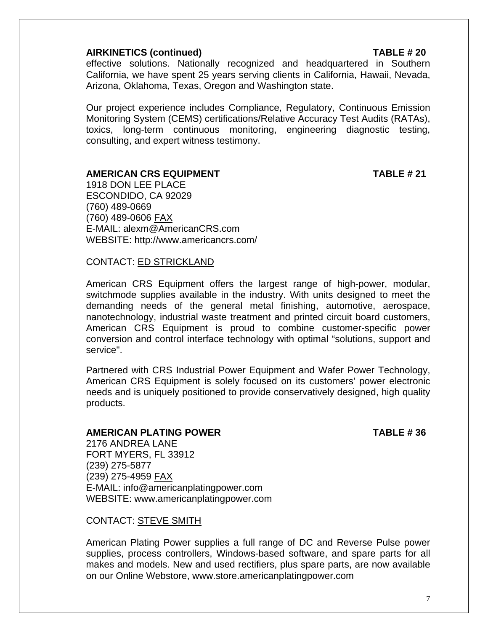#### **AIRKINETICS (continued) TABLE # 20**

effective solutions. Nationally recognized and headquartered in Southern California, we have spent 25 years serving clients in California, Hawaii, Nevada, Arizona, Oklahoma, Texas, Oregon and Washington state.

Our project experience includes Compliance, Regulatory, Continuous Emission Monitoring System (CEMS) certifications/Relative Accuracy Test Audits (RATAs), toxics, long-term continuous monitoring, engineering diagnostic testing, consulting, and expert witness testimony.

#### **AMERICAN CRS EQUIPMENT TABLE # 21**

1918 DON LEE PLACE ESCONDIDO, CA 92029 (760) 489-0669 (760) 489-0606 FAX E-MAIL: alexm@AmericanCRS.com WEBSITE: http://www.americancrs.com/

#### CONTACT: ED STRICKLAND

American CRS Equipment offers the largest range of high-power, modular, switchmode supplies available in the industry. With units designed to meet the demanding needs of the general metal finishing, automotive, aerospace, nanotechnology, industrial waste treatment and printed circuit board customers, American CRS Equipment is proud to combine customer-specific power conversion and control interface technology with optimal "solutions, support and service".

Partnered with CRS Industrial Power Equipment and Wafer Power Technology, American CRS Equipment is solely focused on its customers' power electronic needs and is uniquely positioned to provide conservatively designed, high quality products.

#### **AMERICAN PLATING POWER TABLE # 36**

2176 ANDREA LANE FORT MYERS, FL 33912 (239) 275-5877 (239) 275-4959 FAX E-MAIL: info@americanplatingpower.com WEBSITE: www.americanplatingpower.com

CONTACT: STEVE SMITH

American Plating Power supplies a full range of DC and Reverse Pulse power supplies, process controllers, Windows-based software, and spare parts for all makes and models. New and used rectifiers, plus spare parts, are now available on our Online Webstore, www.store.americanplatingpower.com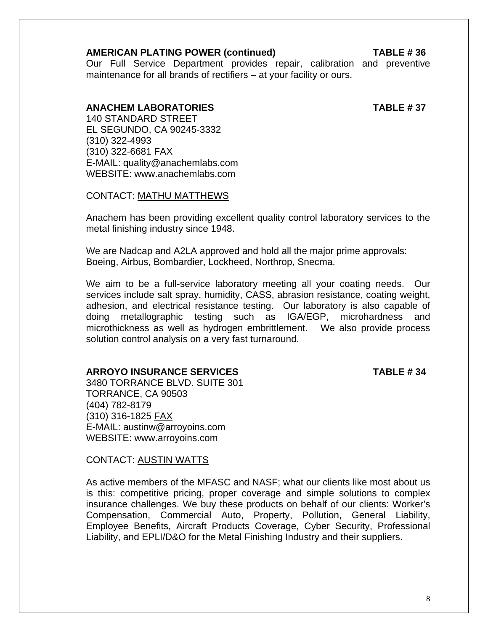#### **AMERICAN PLATING POWER (continued) TABLE # 36**

Our Full Service Department provides repair, calibration and preventive maintenance for all brands of rectifiers – at your facility or ours.

#### **ANACHEM LABORATORIES TABLE # 37**

 140 STANDARD STREET EL SEGUNDO, CA 90245-3332 (310) 322-4993 (310) 322-6681 FAX E-MAIL: quality@anachemlabs.com WEBSITE: www.anachemlabs.com

CONTACT: MATHU MATTHEWS

Anachem has been providing excellent quality control laboratory services to the metal finishing industry since 1948.

We are Nadcap and A2LA approved and hold all the major prime approvals: Boeing, Airbus, Bombardier, Lockheed, Northrop, Snecma.

We aim to be a full-service laboratory meeting all your coating needs. Our services include salt spray, humidity, CASS, abrasion resistance, coating weight, adhesion, and electrical resistance testing. Our laboratory is also capable of doing metallographic testing such as IGA/EGP, microhardness and microthickness as well as hydrogen embrittlement. We also provide process solution control analysis on a very fast turnaround.

#### **ARROYO INSURANCE SERVICES TABLE # 34**

3480 TORRANCE BLVD. SUITE 301 TORRANCE, CA 90503 (404) 782-8179 (310) 316-1825 FAX E-MAIL: austinw@arroyoins.com WEBSITE: www.arroyoins.com

CONTACT: AUSTIN WATTS

As active members of the MFASC and NASF; what our clients like most about us is this: competitive pricing, proper coverage and simple solutions to complex insurance challenges. We buy these products on behalf of our clients: Worker's Compensation, Commercial Auto, Property, Pollution, General Liability, Employee Benefits, Aircraft Products Coverage, Cyber Security, Professional Liability, and EPLI/D&O for the Metal Finishing Industry and their suppliers.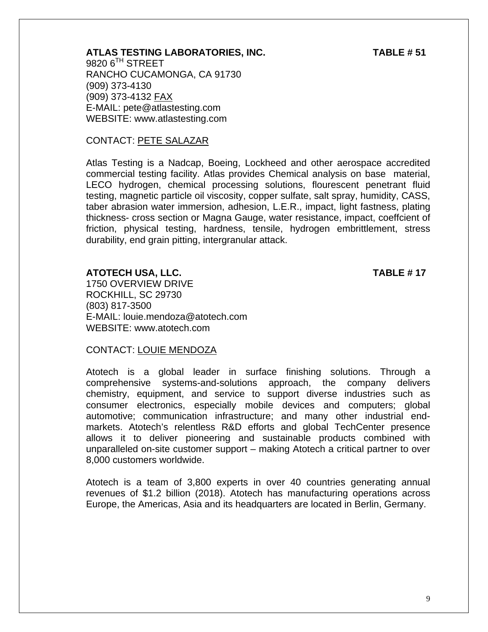### **ATLAS TESTING LABORATORIES, INC. TABLE # 51**

9820 6<sup>TH</sup> STREET RANCHO CUCAMONGA, CA 91730 (909) 373-4130 (909) 373-4132 FAX E-MAIL: pete@atlastesting.com WEBSITE: www.atlastesting.com

### CONTACT: PETE SALAZAR

Atlas Testing is a Nadcap, Boeing, Lockheed and other aerospace accredited commercial testing facility. Atlas provides Chemical analysis on base material, LECO hydrogen, chemical processing solutions, flourescent penetrant fluid testing, magnetic particle oil viscosity, copper sulfate, salt spray, humidity, CASS, taber abrasion water immersion, adhesion, L.E.R., impact, light fastness, plating thickness- cross section or Magna Gauge, water resistance, impact, coeffcient of friction, physical testing, hardness, tensile, hydrogen embrittlement, stress durability, end grain pitting, intergranular attack.

#### **ATOTECH USA, LLC. TABLE # 17**

1750 OVERVIEW DRIVE ROCKHILL, SC 29730 (803) 817-3500 E-MAIL: louie.mendoza@atotech.com WEBSITE: www.atotech.com

#### CONTACT: LOUIE MENDOZA

Atotech is a global leader in surface finishing solutions. Through a comprehensive systems-and-solutions approach, the company delivers chemistry, equipment, and service to support diverse industries such as consumer electronics, especially mobile devices and computers; global automotive; communication infrastructure; and many other industrial endmarkets. Atotech's relentless R&D efforts and global TechCenter presence allows it to deliver pioneering and sustainable products combined with unparalleled on-site customer support – making Atotech a critical partner to over 8,000 customers worldwide.

Atotech is a team of 3,800 experts in over 40 countries generating annual revenues of \$1.2 billion (2018). Atotech has manufacturing operations across Europe, the Americas, Asia and its headquarters are located in Berlin, Germany.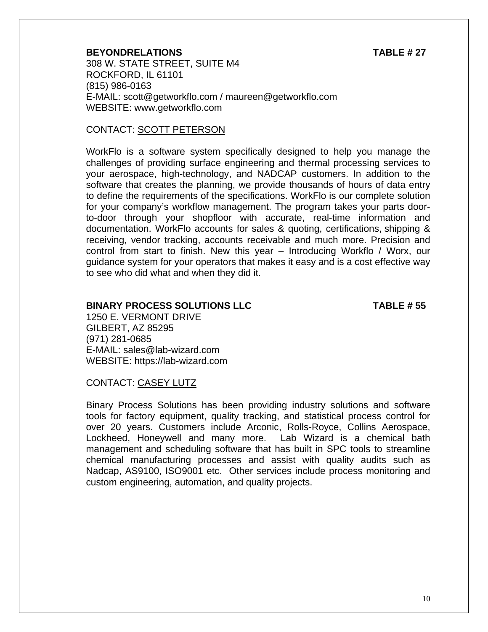#### **BEYONDRELATIONS TABLE # 27**

308 W. STATE STREET, SUITE M4 ROCKFORD, IL 61101 (815) 986-0163 E-MAIL: scott@getworkflo.com / maureen@getworkflo.com WEBSITE: www.getworkflo.com

#### CONTACT: SCOTT PETERSON

WorkFlo is a software system specifically designed to help you manage the challenges of providing surface engineering and thermal processing services to your aerospace, high-technology, and NADCAP customers. In addition to the software that creates the planning, we provide thousands of hours of data entry to define the requirements of the specifications. WorkFlo is our complete solution for your company's workflow management. The program takes your parts doorto-door through your shopfloor with accurate, real-time information and documentation. WorkFlo accounts for sales & quoting, certifications, shipping & receiving, vendor tracking, accounts receivable and much more. Precision and control from start to finish. New this year – Introducing Workflo / Worx, our guidance system for your operators that makes it easy and is a cost effective way to see who did what and when they did it.

#### **BINARY PROCESS SOLUTIONS LLC TABLE # 55**

1250 E. VERMONT DRIVE GILBERT, AZ 85295 (971) 281-0685 E-MAIL: sales@lab-wizard.com WEBSITE: https://lab-wizard.com

#### CONTACT: CASEY LUTZ

Binary Process Solutions has been providing industry solutions and software tools for factory equipment, quality tracking, and statistical process control for over 20 years. Customers include Arconic, Rolls-Royce, Collins Aerospace, Lockheed, Honeywell and many more. Lab Wizard is a chemical bath management and scheduling software that has built in SPC tools to streamline chemical manufacturing processes and assist with quality audits such as Nadcap, AS9100, ISO9001 etc. Other services include process monitoring and custom engineering, automation, and quality projects.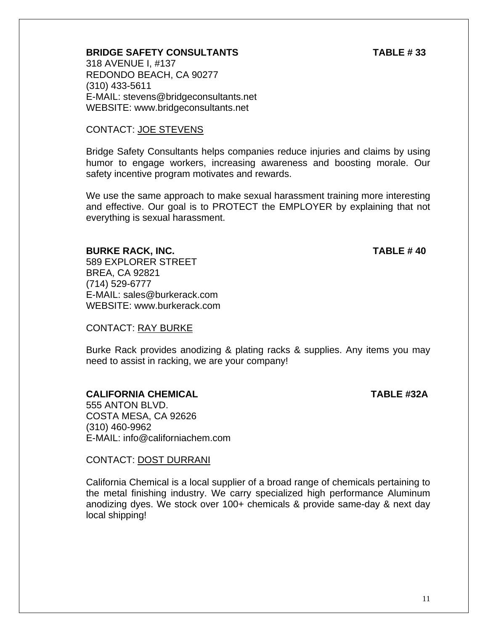### **BRIDGE SAFETY CONSULTANTS TABLE # 33**

318 AVENUE I, #137 REDONDO BEACH, CA 90277 (310) 433-5611 E-MAIL: stevens@bridgeconsultants.net WEBSITE: www.bridgeconsultants.net

#### CONTACT: JOE STEVENS

Bridge Safety Consultants helps companies reduce injuries and claims by using humor to engage workers, increasing awareness and boosting morale. Our safety incentive program motivates and rewards.

We use the same approach to make sexual harassment training more interesting and effective. Our goal is to PROTECT the EMPLOYER by explaining that not everything is sexual harassment.

#### **BURKE RACK, INC. TABLE # 40**

589 EXPLORER STREET BREA, CA 92821 (714) 529-6777 E-MAIL: sales@burkerack.com WEBSITE: www.burkerack.com

#### CONTACT: RAY BURKE

Burke Rack provides anodizing & plating racks & supplies. Any items you may need to assist in racking, we are your company!

### **CALIFORNIA CHEMICAL TABLE #32A**

555 ANTON BLVD. COSTA MESA, CA 92626 (310) 460-9962

CONTACT: DOST DURRANI

E-MAIL: info@californiachem.com

California Chemical is a local supplier of a broad range of chemicals pertaining to the metal finishing industry. We carry specialized high performance Aluminum anodizing dyes. We stock over 100+ chemicals & provide same-day & next day local shipping!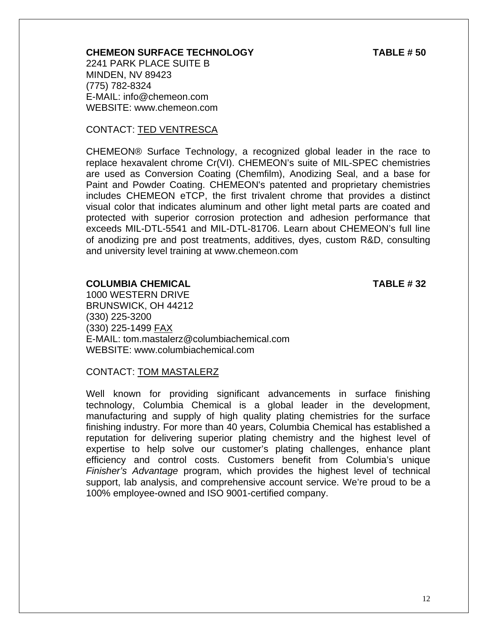#### **CHEMEON SURFACE TECHNOLOGY TABLE # 50**

2241 PARK PLACE SUITE B MINDEN, NV 89423 (775) 782-8324 E-MAIL: info@chemeon.com WEBSITE: www.chemeon.com

#### CONTACT: TED VENTRESCA

CHEMEON® Surface Technology, a recognized global leader in the race to replace hexavalent chrome Cr(VI). CHEMEON's suite of MIL-SPEC chemistries are used as Conversion Coating (Chemfilm), Anodizing Seal, and a base for Paint and Powder Coating. CHEMEON's patented and proprietary chemistries includes CHEMEON eTCP, the first trivalent chrome that provides a distinct visual color that indicates aluminum and other light metal parts are coated and protected with superior corrosion protection and adhesion performance that exceeds MIL-DTL-5541 and MIL-DTL-81706. Learn about CHEMEON's full line of anodizing pre and post treatments, additives, dyes, custom R&D, consulting and university level training at www.chemeon.com

#### **COLUMBIA CHEMICAL TABLE # 32**

1000 WESTERN DRIVE BRUNSWICK, OH 44212 (330) 225-3200 (330) 225-1499 FAX E-MAIL: tom.mastalerz@columbiachemical.com WEBSITE: www.columbiachemical.com

#### CONTACT: TOM MASTALERZ

Well known for providing significant advancements in surface finishing technology, Columbia Chemical is a global leader in the development, manufacturing and supply of high quality plating chemistries for the surface finishing industry. For more than 40 years, Columbia Chemical has established a reputation for delivering superior plating chemistry and the highest level of expertise to help solve our customer's plating challenges, enhance plant efficiency and control costs. Customers benefit from Columbia's unique *Finisher's Advantage* program, which provides the highest level of technical support, lab analysis, and comprehensive account service. We're proud to be a 100% employee-owned and ISO 9001-certified company.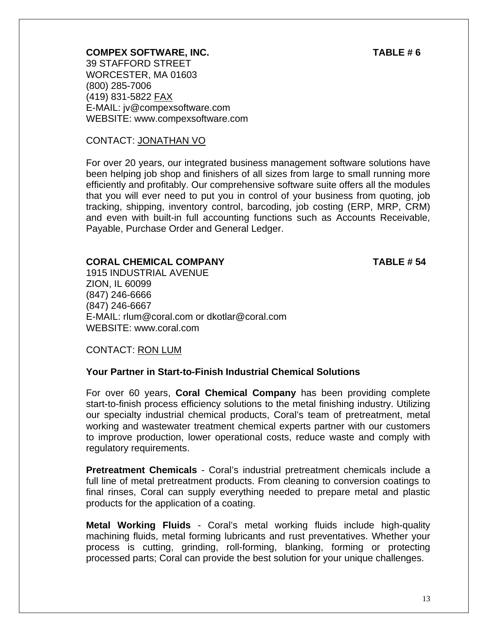#### **COMPEX SOFTWARE, INC.** TABLE # 6

39 STAFFORD STREET WORCESTER, MA 01603 (800) 285-7006 (419) 831-5822 FAX E-MAIL: jv@compexsoftware.com WEBSITE: www.compexsoftware.com

#### CONTACT: JONATHAN VO

For over 20 years, our integrated business management software solutions have been helping job shop and finishers of all sizes from large to small running more efficiently and profitably. Our comprehensive software suite offers all the modules that you will ever need to put you in control of your business from quoting, job tracking, shipping, inventory control, barcoding, job costing (ERP, MRP, CRM) and even with built-in full accounting functions such as Accounts Receivable, Payable, Purchase Order and General Ledger.

#### **CORAL CHEMICAL COMPANY TABLE # 54**

1915 INDUSTRIAL AVENUE ZION, IL 60099 (847) 246-6666 (847) 246-6667 E-MAIL: rlum@coral.com or dkotlar@coral.com WEBSITE: www.coral.com

CONTACT: RON LUM

#### **Your Partner in Start-to-Finish Industrial Chemical Solutions**

For over 60 years, **Coral Chemical Company** has been providing complete start-to-finish process efficiency solutions to the metal finishing industry. Utilizing our specialty industrial chemical products, Coral's team of pretreatment, metal working and wastewater treatment chemical experts partner with our customers to improve production, lower operational costs, reduce waste and comply with regulatory requirements.

**Pretreatment Chemicals** - Coral's industrial pretreatment chemicals include a full line of metal pretreatment products. From cleaning to conversion coatings to final rinses, Coral can supply everything needed to prepare metal and plastic products for the application of a coating.

**Metal Working Fluids** - Coral's metal working fluids include high-quality machining fluids, metal forming lubricants and rust preventatives. Whether your process is cutting, grinding, roll-forming, blanking, forming or protecting processed parts; Coral can provide the best solution for your unique challenges.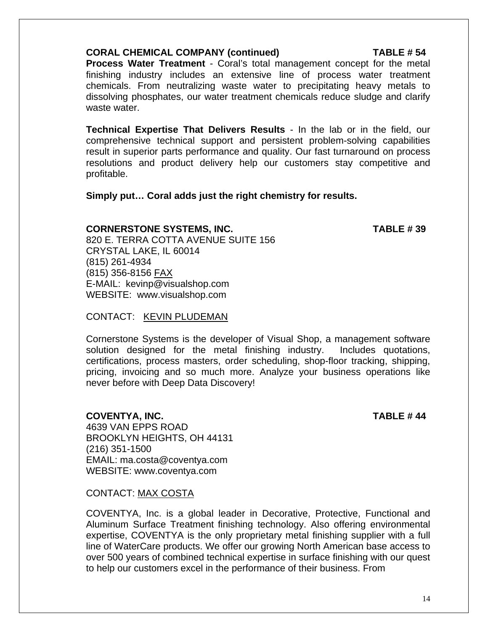### **CORAL CHEMICAL COMPANY (continued) TABLE # 54**

**Process Water Treatment** - Coral's total management concept for the metal finishing industry includes an extensive line of process water treatment chemicals. From neutralizing waste water to precipitating heavy metals to dissolving phosphates, our water treatment chemicals reduce sludge and clarify waste water.

**Technical Expertise That Delivers Results** - In the lab or in the field, our comprehensive technical support and persistent problem-solving capabilities result in superior parts performance and quality. Our fast turnaround on process resolutions and product delivery help our customers stay competitive and profitable.

### **Simply put… Coral adds just the right chemistry for results.**

### **CORNERSTONE SYSTEMS, INC. TABLE # 39**

820 E. TERRA COTTA AVENUE SUITE 156 CRYSTAL LAKE, IL 60014 (815) 261-4934 (815) 356-8156 FAX E-MAIL: kevinp@visualshop.com WEBSITE: www.visualshop.com

### CONTACT: KEVIN PLUDEMAN

Cornerstone Systems is the developer of Visual Shop, a management software solution designed for the metal finishing industry. Includes quotations, certifications, process masters, order scheduling, shop-floor tracking, shipping, pricing, invoicing and so much more. Analyze your business operations like never before with Deep Data Discovery!

**COVENTYA, INC. TABLE # 44** 

4639 VAN EPPS ROAD BROOKLYN HEIGHTS, OH 44131 (216) 351-1500 EMAIL: ma.costa@coventya.com WEBSITE: www.coventya.com

CONTACT: MAX COSTA

COVENTYA, Inc. is a global leader in Decorative, Protective, Functional and Aluminum Surface Treatment finishing technology. Also offering environmental expertise, COVENTYA is the only proprietary metal finishing supplier with a full line of WaterCare products. We offer our growing North American base access to over 500 years of combined technical expertise in surface finishing with our quest to help our customers excel in the performance of their business. From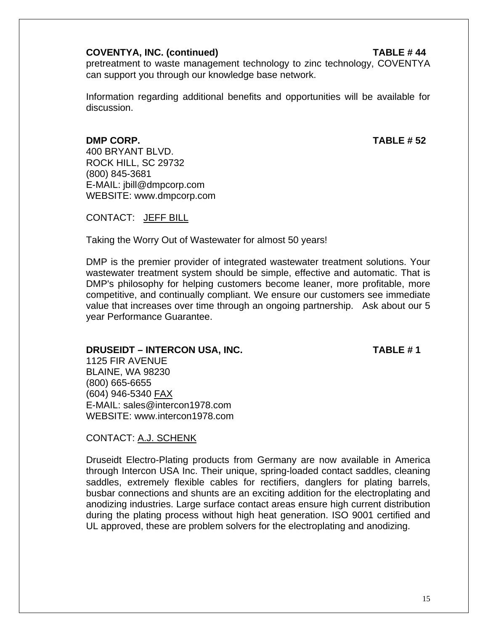#### **COVENTYA, INC. (continued) TABLE # 44**

pretreatment to waste management technology to zinc technology, COVENTYA can support you through our knowledge base network.

 Information regarding additional benefits and opportunities will be available for discussion.

#### **DMP CORP. TABLE # 52**

(800) 845-3681

400 BRYANT BLVD. ROCK HILL, SC 29732

CONTACT: JEFF BILL

 E-MAIL: jbill@dmpcorp.com WEBSITE: www.dmpcorp.com

Taking the Worry Out of Wastewater for almost 50 years!

DMP is the premier provider of integrated wastewater treatment solutions. Your wastewater treatment system should be simple, effective and automatic. That is DMP's philosophy for helping customers become leaner, more profitable, more competitive, and continually compliant. We ensure our customers see immediate value that increases over time through an ongoing partnership. Ask about our 5 year Performance Guarantee.

#### **DRUSEIDT – INTERCON USA, INC.** TABLE # 1

1125 FIR AVENUE BLAINE, WA 98230 (800) 665-6655 (604) 946-5340 FAX E-MAIL: sales@intercon1978.com WEBSITE: www.intercon1978.com

### CONTACT: A.J. SCHENK

Druseidt Electro-Plating products from Germany are now available in America through Intercon USA Inc. Their unique, spring-loaded contact saddles, cleaning saddles, extremely flexible cables for rectifiers, danglers for plating barrels, busbar connections and shunts are an exciting addition for the electroplating and anodizing industries. Large surface contact areas ensure high current distribution during the plating process without high heat generation. ISO 9001 certified and UL approved, these are problem solvers for the electroplating and anodizing.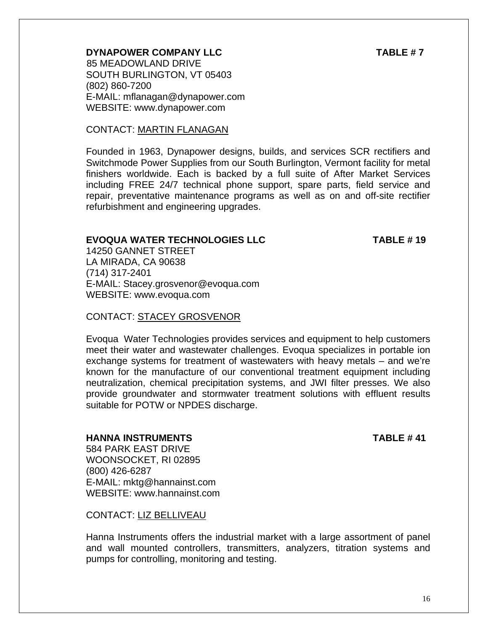### **DYNAPOWER COMPANY LLC TABLE #7**

 85 MEADOWLAND DRIVE SOUTH BURLINGTON, VT 05403 (802) 860-7200 E-MAIL: mflanagan@dynapower.com WEBSITE: www.dynapower.com

### CONTACT: MARTIN FLANAGAN

Founded in 1963, Dynapower designs, builds, and services SCR rectifiers and Switchmode Power Supplies from our South Burlington, Vermont facility for metal finishers worldwide. Each is backed by a full suite of After Market Services including FREE 24/7 technical phone support, spare parts, field service and repair, preventative maintenance programs as well as on and off-site rectifier refurbishment and engineering upgrades.

### **EVOQUA WATER TECHNOLOGIES LLC TABLE # 19**

14250 GANNET STREET LA MIRADA, CA 90638 (714) 317-2401 E-MAIL: Stacey.grosvenor@evoqua.com WEBSITE: www.evoqua.com

### CONTACT: STACEY GROSVENOR

Evoqua Water Technologies provides services and equipment to help customers meet their water and wastewater challenges. Evoqua specializes in portable ion exchange systems for treatment of wastewaters with heavy metals – and we're known for the manufacture of our conventional treatment equipment including neutralization, chemical precipitation systems, and JWI filter presses. We also provide groundwater and stormwater treatment solutions with effluent results suitable for POTW or NPDES discharge.

### **HANNA INSTRUMENTS TABLE # 41**

584 PARK EAST DRIVE WOONSOCKET, RI 02895 (800) 426-6287 E-MAIL: mktg@hannainst.com WEBSITE: www.hannainst.com

CONTACT: LIZ BELLIVEAU

Hanna Instruments offers the industrial market with a large assortment of panel and wall mounted controllers, transmitters, analyzers, titration systems and pumps for controlling, monitoring and testing.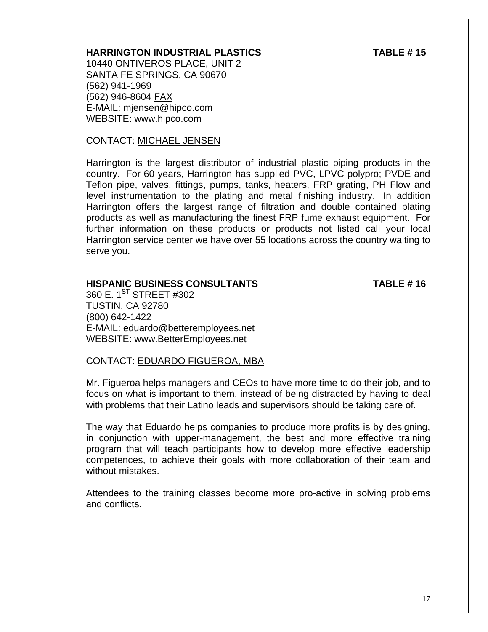#### **HARRINGTON INDUSTRIAL PLASTICS TABLE # 15**

10440 ONTIVEROS PLACE, UNIT 2 SANTA FE SPRINGS, CA 90670 (562) 941-1969 (562) 946-8604 FAX E-MAIL: mjensen@hipco.com WEBSITE: www.hipco.com

#### CONTACT: MICHAEL JENSEN

Harrington is the largest distributor of industrial plastic piping products in the country. For 60 years, Harrington has supplied PVC, LPVC polypro; PVDE and Teflon pipe, valves, fittings, pumps, tanks, heaters, FRP grating, PH Flow and level instrumentation to the plating and metal finishing industry. In addition Harrington offers the largest range of filtration and double contained plating products as well as manufacturing the finest FRP fume exhaust equipment. For further information on these products or products not listed call your local Harrington service center we have over 55 locations across the country waiting to serve you.

#### **HISPANIC BUSINESS CONSULTANTS TABLE # 16**

360 E.  $1^{\text{ST}}$  STREET #302 TUSTIN, CA 92780 (800) 642-1422 E-MAIL: eduardo@betteremployees.net WEBSITE: www.BetterEmployees.net

#### CONTACT: EDUARDO FIGUEROA, MBA

Mr. Figueroa helps managers and CEOs to have more time to do their job, and to focus on what is important to them, instead of being distracted by having to deal with problems that their Latino leads and supervisors should be taking care of.

The way that Eduardo helps companies to produce more profits is by designing, in conjunction with upper-management, the best and more effective training program that will teach participants how to develop more effective leadership competences, to achieve their goals with more collaboration of their team and without mistakes.

Attendees to the training classes become more pro-active in solving problems and conflicts.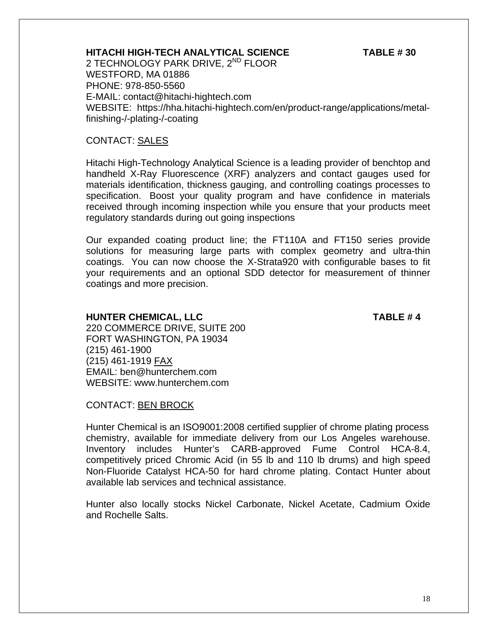### **HITACHI HIGH-TECH ANALYTICAL SCIENCE TABLE # 30**

2 TECHNOLOGY PARK DRIVE, 2<sup>ND</sup> FLOOR WESTFORD, MA 01886 PHONE: 978-850-5560 E-MAIL: contact@hitachi-hightech.com WEBSITE: https://hha.hitachi-hightech.com/en/product-range/applications/metalfinishing-/-plating-/-coating

#### CONTACT: SALES

Hitachi High-Technology Analytical Science is a leading provider of benchtop and handheld X-Ray Fluorescence (XRF) analyzers and contact gauges used for materials identification, thickness gauging, and controlling coatings processes to specification. Boost your quality program and have confidence in materials received through incoming inspection while you ensure that your products meet regulatory standards during out going inspections

Our expanded coating product line; the FT110A and FT150 series provide solutions for measuring large parts with complex geometry and ultra-thin coatings. You can now choose the X-Strata920 with configurable bases to fit your requirements and an optional SDD detector for measurement of thinner coatings and more precision.

#### **HUNTER CHEMICAL, LLC TABLE # 4**

220 COMMERCE DRIVE, SUITE 200 FORT WASHINGTON, PA 19034 (215) 461-1900 (215) 461-1919 FAX EMAIL: ben@hunterchem.com WEBSITE: www.hunterchem.com

CONTACT: BEN BROCK

Hunter Chemical is an ISO9001:2008 certified supplier of chrome plating process chemistry, available for immediate delivery from our Los Angeles warehouse. Inventory includes Hunter's CARB-approved Fume Control HCA-8.4, competitively priced Chromic Acid (in 55 lb and 110 lb drums) and high speed Non-Fluoride Catalyst HCA-50 for hard chrome plating. Contact Hunter about available lab services and technical assistance.

Hunter also locally stocks Nickel Carbonate, Nickel Acetate, Cadmium Oxide and Rochelle Salts.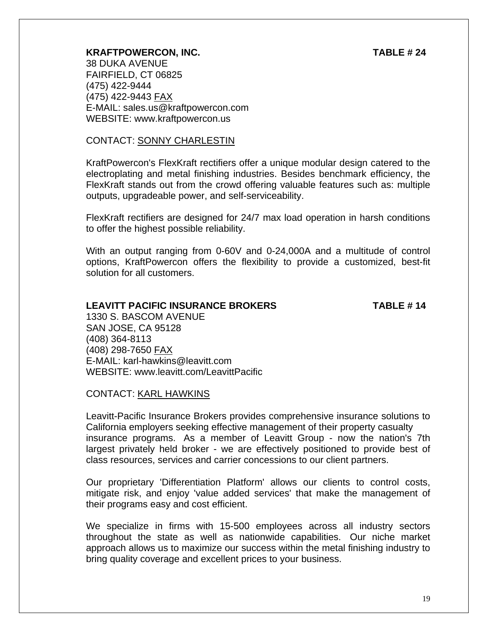#### **KRAFTPOWERCON, INC. TABLE # 24**

38 DUKA AVENUE FAIRFIELD, CT 06825 (475) 422-9444 (475) 422-9443 FAX E-MAIL: sales.us@kraftpowercon.com WEBSITE: www.kraftpowercon.us

#### CONTACT: SONNY CHARLESTIN

KraftPowercon's FlexKraft rectifiers offer a unique modular design catered to the electroplating and metal finishing industries. Besides benchmark efficiency, the FlexKraft stands out from the crowd offering valuable features such as: multiple outputs, upgradeable power, and self-serviceability.

FlexKraft rectifiers are designed for 24/7 max load operation in harsh conditions to offer the highest possible reliability.

With an output ranging from 0-60V and 0-24,000A and a multitude of control options, KraftPowercon offers the flexibility to provide a customized, best-fit solution for all customers.

#### **LEAVITT PACIFIC INSURANCE BROKERS TABLE # 14**

1330 S. BASCOM AVENUE SAN JOSE, CA 95128 (408) 364-8113 (408) 298-7650 FAX E-MAIL: karl-hawkins@leavitt.com WEBSITE: www.leavitt.com/LeavittPacific

#### CONTACT: KARL HAWKINS

Leavitt-Pacific Insurance Brokers provides comprehensive insurance solutions to California employers seeking effective management of their property casualty insurance programs. As a member of Leavitt Group - now the nation's 7th largest privately held broker - we are effectively positioned to provide best of class resources, services and carrier concessions to our client partners.

Our proprietary 'Differentiation Platform' allows our clients to control costs, mitigate risk, and enjoy 'value added services' that make the management of their programs easy and cost efficient.

We specialize in firms with 15-500 employees across all industry sectors throughout the state as well as nationwide capabilities. Our niche market approach allows us to maximize our success within the metal finishing industry to bring quality coverage and excellent prices to your business.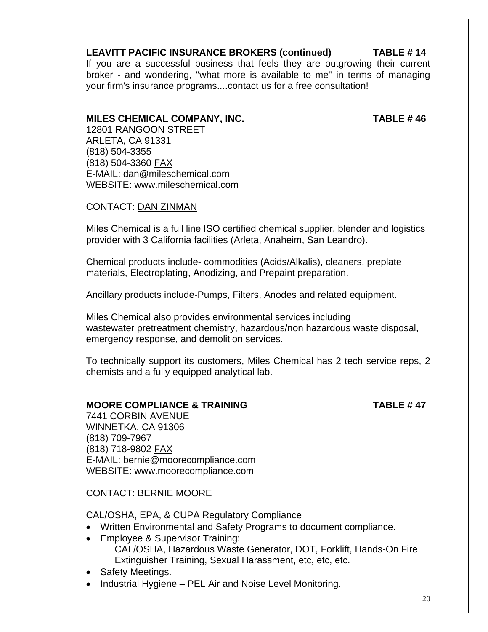### **LEAVITT PACIFIC INSURANCE BROKERS (continued) TABLE # 14**

If you are a successful business that feels they are outgrowing their current broker - and wondering, "what more is available to me" in terms of managing your firm's insurance programs....contact us for a free consultation!

#### **MILES CHEMICAL COMPANY, INC. TABLE # 46**

12801 RANGOON STREET ARLETA, CA 91331 (818) 504-3355 (818) 504-3360 FAX E-MAIL: dan@mileschemical.com WEBSITE: www.mileschemical.com

CONTACT: DAN ZINMAN

Miles Chemical is a full line ISO certified chemical supplier, blender and logistics provider with 3 California facilities (Arleta, Anaheim, San Leandro).

Chemical products include- commodities (Acids/Alkalis), cleaners, preplate materials, Electroplating, Anodizing, and Prepaint preparation.

Ancillary products include-Pumps, Filters, Anodes and related equipment.

Miles Chemical also provides environmental services including wastewater pretreatment chemistry, hazardous/non hazardous waste disposal, emergency response, and demolition services.

To technically support its customers, Miles Chemical has 2 tech service reps, 2 chemists and a fully equipped analytical lab.

### **MOORE COMPLIANCE & TRAINING TABLE # 47**

 7441 CORBIN AVENUE WINNETKA, CA 91306 (818) 709-7967 (818) 718-9802 FAX E-MAIL: bernie@moorecompliance.com WEBSITE: www.moorecompliance.com

CONTACT: BERNIE MOORE

CAL/OSHA, EPA, & CUPA Regulatory Compliance

- Written Environmental and Safety Programs to document compliance.
- Employee & Supervisor Training: CAL/OSHA, Hazardous Waste Generator, DOT, Forklift, Hands-On Fire Extinguisher Training, Sexual Harassment, etc, etc, etc.
- Safety Meetings.
- Industrial Hygiene PEL Air and Noise Level Monitoring.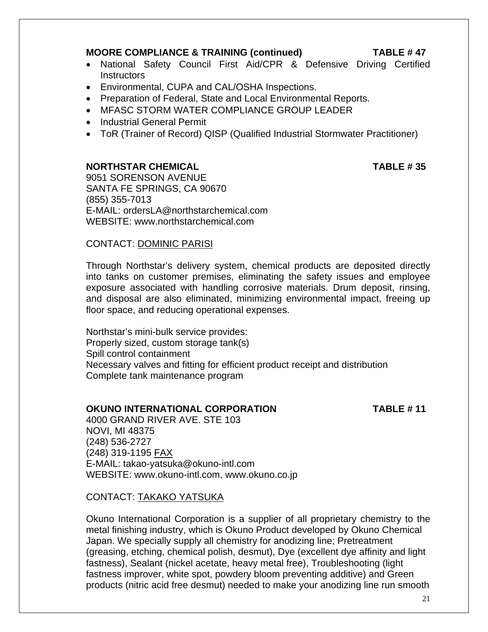#### **MOORE COMPLIANCE & TRAINING (continued) TABLE # 47**

- National Safety Council First Aid/CPR & Defensive Driving Certified **Instructors**
- Environmental, CUPA and CAL/OSHA Inspections.
- Preparation of Federal, State and Local Environmental Reports.
- MFASC STORM WATER COMPLIANCE GROUP LEADER
- Industrial General Permit
- ToR (Trainer of Record) QISP (Qualified Industrial Stormwater Practitioner)

#### **NORTHSTAR CHEMICAL TABLE # 35**

9051 SORENSON AVENUE SANTA FE SPRINGS, CA 90670 (855) 355-7013 E-MAIL: ordersLA@northstarchemical.com WEBSITE: www.northstarchemical.com

#### CONTACT: DOMINIC PARISI

Through Northstar's delivery system, chemical products are deposited directly into tanks on customer premises, eliminating the safety issues and employee exposure associated with handling corrosive materials. Drum deposit, rinsing, and disposal are also eliminated, minimizing environmental impact, freeing up floor space, and reducing operational expenses.

Northstar's mini-bulk service provides: Properly sized, custom storage tank(s) Spill control containment Necessary valves and fitting for efficient product receipt and distribution Complete tank maintenance program

### **OKUNO INTERNATIONAL CORPORATION TABLE # 11**

4000 GRAND RIVER AVE. STE 103 NOVI, MI 48375 (248) 536-2727 (248) 319-1195 FAX E-MAIL: takao-yatsuka@okuno-intl.com WEBSITE: www.okuno-intl.com, www.okuno.co.jp

### CONTACT: TAKAKO YATSUKA

Okuno International Corporation is a supplier of all proprietary chemistry to the metal finishing industry, which is Okuno Product developed by Okuno Chemical Japan. We specially supply all chemistry for anodizing line; Pretreatment (greasing, etching, chemical polish, desmut), Dye (excellent dye affinity and light fastness), Sealant (nickel acetate, heavy metal free), Troubleshooting (light fastness improver, white spot, powdery bloom preventing additive) and Green products (nitric acid free desmut) needed to make your anodizing line run smooth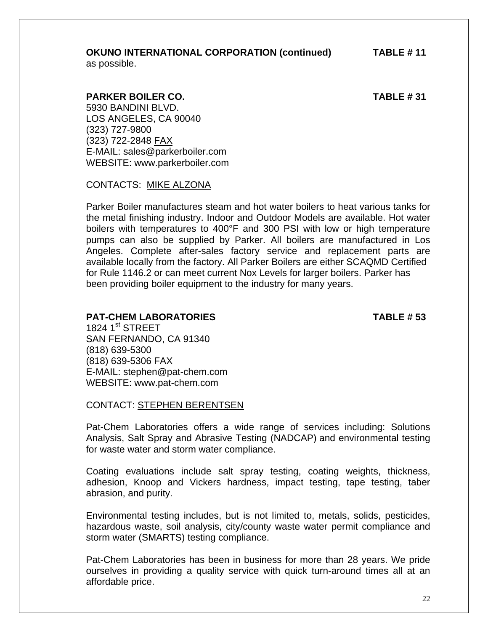# **OKUNO INTERNATIONAL CORPORATION (continued) TABLE # 11**

as possible.

#### **PARKER BOILER CO. TABLE # 31**

5930 BANDINI BLVD. LOS ANGELES, CA 90040 (323) 727-9800 (323) 722-2848 FAX E-MAIL: sales@parkerboiler.com WEBSITE: www.parkerboiler.com

CONTACTS: MIKE ALZONA

Parker Boiler manufactures steam and hot water boilers to heat various tanks for the metal finishing industry. Indoor and Outdoor Models are available. Hot water boilers with temperatures to 400°F and 300 PSI with low or high temperature pumps can also be supplied by Parker. All boilers are manufactured in Los Angeles. Complete after-sales factory service and replacement parts are available locally from the factory. All Parker Boilers are either SCAQMD Certified for Rule 1146.2 or can meet current Nox Levels for larger boilers. Parker has been providing boiler equipment to the industry for many years.

#### **PAT-CHEM LABORATORIES TABLE # 53**

1824  $1^{\text{st}}$  STREET SAN FERNANDO, CA 91340 (818) 639-5300 (818) 639-5306 FAX E-MAIL: stephen@pat-chem.com WEBSITE: www.pat-chem.com

CONTACT: STEPHEN BERENTSEN

Pat-Chem Laboratories offers a wide range of services including: Solutions Analysis, Salt Spray and Abrasive Testing (NADCAP) and environmental testing for waste water and storm water compliance.

Coating evaluations include salt spray testing, coating weights, thickness, adhesion, Knoop and Vickers hardness, impact testing, tape testing, taber abrasion, and purity.

Environmental testing includes, but is not limited to, metals, solids, pesticides, hazardous waste, soil analysis, city/county waste water permit compliance and storm water (SMARTS) testing compliance.

Pat-Chem Laboratories has been in business for more than 28 years. We pride ourselves in providing a quality service with quick turn-around times all at an affordable price.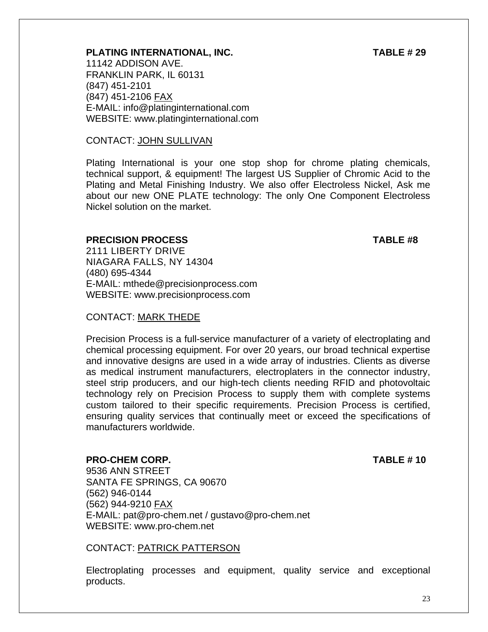### **PLATING INTERNATIONAL, INC. TABLE # 29**

11142 ADDISON AVE. FRANKLIN PARK, IL 60131 (847) 451-2101 (847) 451-2106 FAX E-MAIL: info@platinginternational.com WEBSITE: www.platinginternational.com

#### CONTACT: JOHN SULLIVAN

Plating International is your one stop shop for chrome plating chemicals, technical support, & equipment! The largest US Supplier of Chromic Acid to the Plating and Metal Finishing Industry. We also offer Electroless Nickel, Ask me about our new ONE PLATE technology: The only One Component Electroless Nickel solution on the market.

#### **PRECISION PROCESS** TABLE #8

2111 LIBERTY DRIVE NIAGARA FALLS, NY 14304 (480) 695-4344 E-MAIL: mthede@precisionprocess.com WEBSITE: www.precisionprocess.com

#### CONTACT: MARK THEDE

Precision Process is a full-service manufacturer of a variety of electroplating and chemical processing equipment. For over 20 years, our broad technical expertise and innovative designs are used in a wide array of industries. Clients as diverse as medical instrument manufacturers, electroplaters in the connector industry, steel strip producers, and our high-tech clients needing RFID and photovoltaic technology rely on Precision Process to supply them with complete systems custom tailored to their specific requirements. Precision Process is certified, ensuring quality services that continually meet or exceed the specifications of manufacturers worldwide.

#### **PRO-CHEM CORP. TABLE # 10**

9536 ANN STREET SANTA FE SPRINGS, CA 90670 (562) 946-0144 (562) 944-9210 FAX E-MAIL: pat@pro-chem.net / gustavo@pro-chem.net WEBSITE: www.pro-chem.net

#### CONTACT: PATRICK PATTERSON

Electroplating processes and equipment, quality service and exceptional products.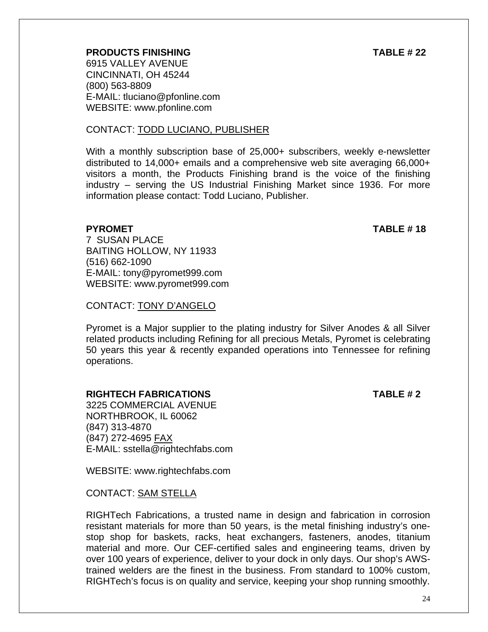### **PRODUCTS FINISHING TABLE # 22**

6915 VALLEY AVENUE CINCINNATI, OH 45244 (800) 563-8809 E-MAIL: tluciano@pfonline.com WEBSITE: www.pfonline.com

#### CONTACT: TODD LUCIANO, PUBLISHER

With a monthly subscription base of 25,000+ subscribers, weekly e-newsletter distributed to 14,000+ emails and a comprehensive web site averaging 66,000+ visitors a month, the Products Finishing brand is the voice of the finishing industry – serving the US Industrial Finishing Market since 1936. For more information please contact: Todd Luciano, Publisher.

#### **PYROMET** TABLE # 18

7 SUSAN PLACE BAITING HOLLOW, NY 11933 (516) 662-1090 E-MAIL: tony@pyromet999.com WEBSITE: www.pyromet999.com

#### CONTACT: TONY D'ANGELO

Pyromet is a Major supplier to the plating industry for Silver Anodes & all Silver related products including Refining for all precious Metals, Pyromet is celebrating 50 years this year & recently expanded operations into Tennessee for refining operations.

#### **RIGHTECH FABRICATIONS TABLE # 2**

3225 COMMERCIAL AVENUE NORTHBROOK, IL 60062 (847) 313-4870 (847) 272-4695 FAX E-MAIL: sstella@rightechfabs.com

WEBSITE: www.rightechfabs.com

#### CONTACT: SAM STELLA

RIGHTech Fabrications, a trusted name in design and fabrication in corrosion resistant materials for more than 50 years, is the metal finishing industry's onestop shop for baskets, racks, heat exchangers, fasteners, anodes, titanium material and more. Our CEF-certified sales and engineering teams, driven by over 100 years of experience, deliver to your dock in only days. Our shop's AWStrained welders are the finest in the business. From standard to 100% custom, RIGHTech's focus is on quality and service, keeping your shop running smoothly.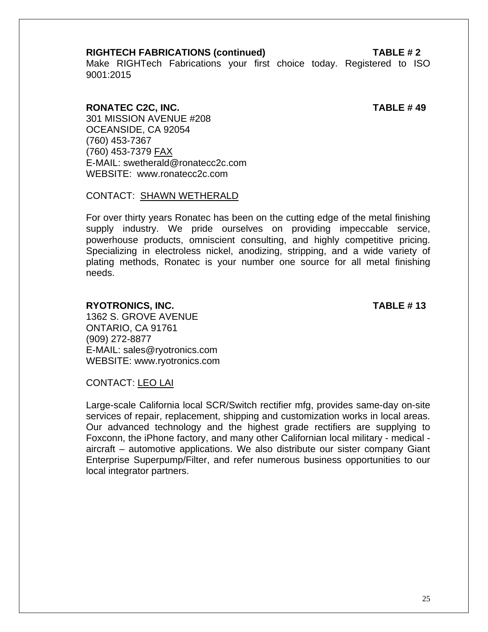#### **RIGHTECH FABRICATIONS (continued) TABLE # 2**

Make RIGHTech Fabrications your first choice today. Registered to ISO 9001:2015

#### **RONATEC C2C, INC. TABLE # 49**

301 MISSION AVENUE #208 OCEANSIDE, CA 92054 (760) 453-7367 (760) 453-7379 FAX E-MAIL: swetherald@ronatecc2c.com WEBSITE: www.ronatecc2c.com

#### CONTACT: SHAWN WETHERALD

For over thirty years Ronatec has been on the cutting edge of the metal finishing supply industry. We pride ourselves on providing impeccable service, powerhouse products, omniscient consulting, and highly competitive pricing. Specializing in electroless nickel, anodizing, stripping, and a wide variety of plating methods, Ronatec is your number one source for all metal finishing needs.

#### **RYOTRONICS, INC. TABLE # 13**

1362 S. GROVE AVENUE ONTARIO, CA 91761 (909) 272-8877 E-MAIL: sales@ryotronics.com WEBSITE: www.ryotronics.com

CONTACT: LEO LAI

Large-scale California local SCR/Switch rectifier mfg, provides same-day on-site services of repair, replacement, shipping and customization works in local areas. Our advanced technology and the highest grade rectifiers are supplying to Foxconn, the iPhone factory, and many other Californian local military - medical aircraft – automotive applications. We also distribute our sister company Giant Enterprise Superpump/Filter, and refer numerous business opportunities to our local integrator partners.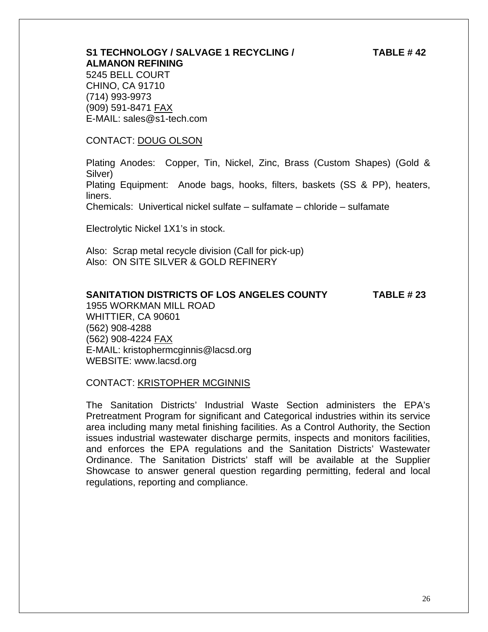## **S1 TECHNOLOGY / SALVAGE 1 RECYCLING / TABLE # 42 ALMANON REFINING**

 5245 BELL COURT CHINO, CA 91710 (714) 993-9973 (909) 591-8471 FAX E-MAIL: sales@s1-tech.com

#### CONTACT: DOUG OLSON

 Plating Anodes: Copper, Tin, Nickel, Zinc, Brass (Custom Shapes) (Gold & Silver)

 Plating Equipment: Anode bags, hooks, filters, baskets (SS & PP), heaters, liners.

Chemicals: Univertical nickel sulfate – sulfamate – chloride – sulfamate

Electrolytic Nickel 1X1's in stock.

 Also: Scrap metal recycle division (Call for pick-up) Also: ON SITE SILVER & GOLD REFINERY

#### **SANITATION DISTRICTS OF LOS ANGELES COUNTY TABLE # 23**

1955 WORKMAN MILL ROAD WHITTIER, CA 90601 (562) 908-4288 (562) 908-4224 FAX E-MAIL: kristophermcginnis@lacsd.org WEBSITE: www.lacsd.org

#### CONTACT: KRISTOPHER MCGINNIS

The Sanitation Districts' Industrial Waste Section administers the EPA's Pretreatment Program for significant and Categorical industries within its service area including many metal finishing facilities. As a Control Authority, the Section issues industrial wastewater discharge permits, inspects and monitors facilities, and enforces the EPA regulations and the Sanitation Districts' Wastewater Ordinance. The Sanitation Districts' staff will be available at the Supplier Showcase to answer general question regarding permitting, federal and local regulations, reporting and compliance.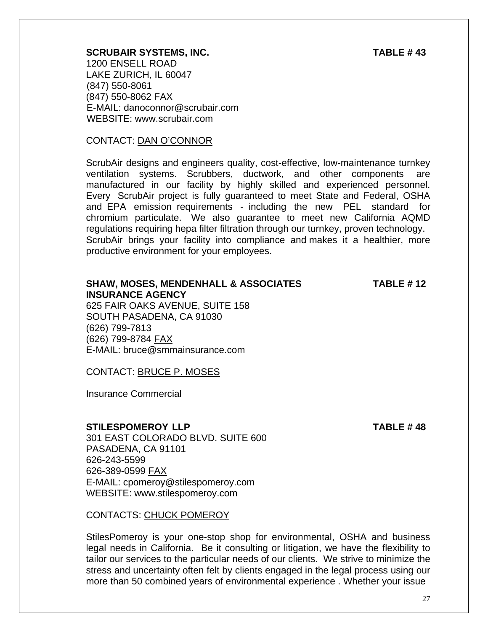#### **SCRUBAIR SYSTEMS, INC. TABLE # 43**

1200 ENSELL ROAD LAKE ZURICH, IL 60047 (847) 550-8061 (847) 550-8062 FAX E-MAIL: danoconnor@scrubair.com WEBSITE: www.scrubair.com

#### CONTACT: DAN O'CONNOR

ScrubAir designs and engineers quality, cost-effective, low-maintenance turnkey ventilation systems. Scrubbers, ductwork, and other components are manufactured in our facility by highly skilled and experienced personnel. Every ScrubAir project is fully guaranteed to meet State and Federal, OSHA and EPA emission requirements - including the new PEL standard for chromium particulate. We also guarantee to meet new California AQMD regulations requiring hepa filter filtration through our turnkey, proven technology. ScrubAir brings your facility into compliance and makes it a healthier, more productive environment for your employees.

### **SHAW, MOSES, MENDENHALL & ASSOCIATES TABLE # 12 INSURANCE AGENCY**

625 FAIR OAKS AVENUE, SUITE 158 SOUTH PASADENA, CA 91030 (626) 799-7813 (626) 799-8784 FAX E-MAIL: bruce@smmainsurance.com

CONTACT: BRUCE P. MOSES

Insurance Commercial

#### **STILESPOMEROY LLP TABLE #48**

301 EAST COLORADO BLVD. SUITE 600 PASADENA, CA 91101 626-243-5599 626-389-0599 FAX E-MAIL: cpomeroy@stilespomeroy.com WEBSITE: www.stilespomeroy.com

CONTACTS: CHUCK POMEROY

StilesPomeroy is your one-stop shop for environmental, OSHA and business legal needs in California. Be it consulting or litigation, we have the flexibility to tailor our services to the particular needs of our clients. We strive to minimize the stress and uncertainty often felt by clients engaged in the legal process using our more than 50 combined years of environmental experience . Whether your issue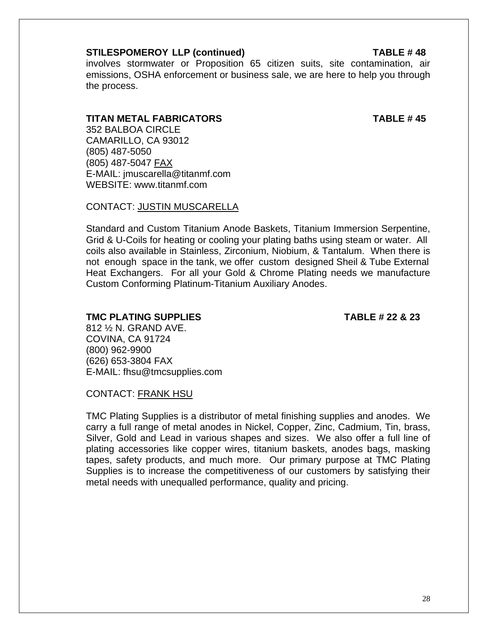#### **STILESPOMEROY LLP (continued) TABLE # 48**

involves stormwater or Proposition 65 citizen suits, site contamination, air emissions, OSHA enforcement or business sale, we are here to help you through the process.

#### **TITAN METAL FABRICATORS TABLE # 45**

 352 BALBOA CIRCLE CAMARILLO, CA 93012 (805) 487-5050 (805) 487-5047 FAX E-MAIL: jmuscarella@titanmf.com WEBSITE: www.titanmf.com

CONTACT: JUSTIN MUSCARELLA

Standard and Custom Titanium Anode Baskets, Titanium Immersion Serpentine, Grid & U-Coils for heating or cooling your plating baths using steam or water. All coils also available in Stainless, Zirconium, Niobium, & Tantalum. When there is not enough space in the tank, we offer custom designed Sheil & Tube External Heat Exchangers. For all your Gold & Chrome Plating needs we manufacture Custom Conforming Platinum-Titanium Auxiliary Anodes.

**TMC PLATING SUPPLIES TABLE # 22 & 23** 

812 ½ N. GRAND AVE. COVINA, CA 91724 (800) 962-9900 (626) 653-3804 FAX E-MAIL: fhsu@tmcsupplies.com

CONTACT: FRANK HSU

TMC Plating Supplies is a distributor of metal finishing supplies and anodes. We carry a full range of metal anodes in Nickel, Copper, Zinc, Cadmium, Tin, brass, Silver, Gold and Lead in various shapes and sizes. We also offer a full line of plating accessories like copper wires, titanium baskets, anodes bags, masking tapes, safety products, and much more. Our primary purpose at TMC Plating Supplies is to increase the competitiveness of our customers by satisfying their metal needs with unequalled performance, quality and pricing.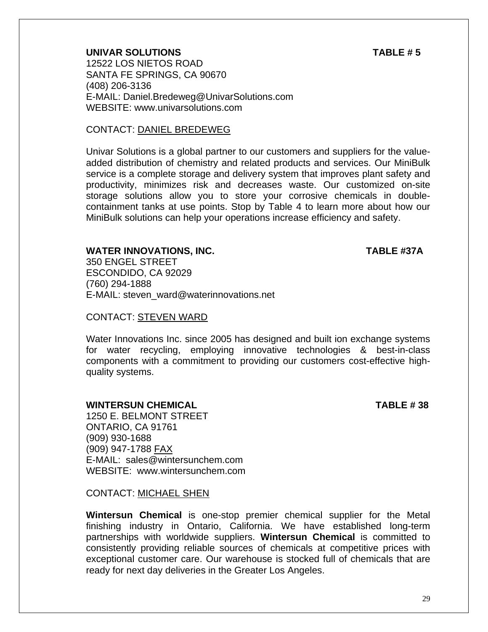**UNIVAR SOLUTIONS TABLE # 5**  12522 LOS NIETOS ROAD SANTA FE SPRINGS, CA 90670 (408) 206-3136 E-MAIL: Daniel.Bredeweg@UnivarSolutions.com WEBSITE: www.univarsolutions.com

#### CONTACT: DANIEL BREDEWEG

Univar Solutions is a global partner to our customers and suppliers for the valueadded distribution of chemistry and related products and services. Our MiniBulk service is a complete storage and delivery system that improves plant safety and productivity, minimizes risk and decreases waste. Our customized on-site storage solutions allow you to store your corrosive chemicals in doublecontainment tanks at use points. Stop by Table 4 to learn more about how our MiniBulk solutions can help your operations increase efficiency and safety.

#### **WATER INNOVATIONS, INC. TABLE #37A**

350 ENGEL STREET ESCONDIDO, CA 92029 (760) 294-1888 E-MAIL: steven\_ward@waterinnovations.net

#### CONTACT: STEVEN WARD

Water Innovations Inc. since 2005 has designed and built ion exchange systems for water recycling, employing innovative technologies & best-in-class components with a commitment to providing our customers cost-effective highquality systems.

#### **WINTERSUN CHEMICAL TABLE # 38**

1250 E. BELMONT STREET ONTARIO, CA 91761 (909) 930-1688 (909) 947-1788 FAX E-MAIL: sales@wintersunchem.com WEBSITE: www.wintersunchem.com

#### CONTACT: MICHAEL SHEN

**Wintersun Chemical** is one-stop premier chemical supplier for the Metal finishing industry in Ontario, California. We have established long-term partnerships with worldwide suppliers. **Wintersun Chemical** is committed to consistently providing reliable sources of chemicals at competitive prices with exceptional customer care. Our warehouse is stocked full of chemicals that are ready for next day deliveries in the Greater Los Angeles.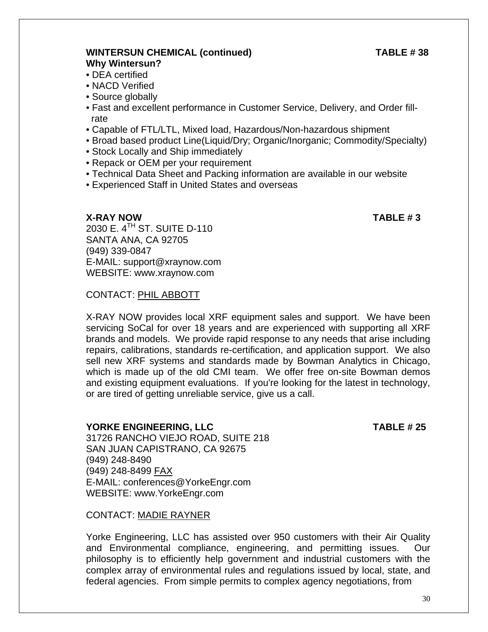### **WINTERSUN CHEMICAL (continued) TABLE # 38 Why Wintersun?**

- DEA certified
	- NACD Verified
	- Source globally
	- Fast and excellent performance in Customer Service, Delivery, and Order fill rate
	- Capable of FTL/LTL, Mixed load, Hazardous/Non-hazardous shipment
	- Broad based product Line(Liquid/Dry; Organic/Inorganic; Commodity/Specialty)
	- Stock Locally and Ship immediately
	- Repack or OEM per your requirement
	- Technical Data Sheet and Packing information are available in our website
	- Experienced Staff in United States and overseas

#### **X-RAY NOW TABLE # 3**

2030 E. 4TH ST. SUITE D-110 SANTA ANA, CA 92705 (949) 339-0847 E-MAIL: support@xraynow.com WEBSITE: www.xraynow.com

### CONTACT: PHIL ABBOTT

X-RAY NOW provides local XRF equipment sales and support. We have been servicing SoCal for over 18 years and are experienced with supporting all XRF brands and models. We provide rapid response to any needs that arise including repairs, calibrations, standards re-certification, and application support. We also sell new XRF systems and standards made by Bowman Analytics in Chicago, which is made up of the old CMI team. We offer free on-site Bowman demos and existing equipment evaluations. If you're looking for the latest in technology, or are tired of getting unreliable service, give us a call.

#### **YORKE ENGINEERING, LLC TABLE # 25**

31726 RANCHO VIEJO ROAD, SUITE 218 SAN JUAN CAPISTRANO, CA 92675 (949) 248-8490 (949) 248-8499 FAX E-MAIL: conferences@YorkeEngr.com WEBSITE: www.YorkeEngr.com

### CONTACT: MADIE RAYNER

Yorke Engineering, LLC has assisted over 950 customers with their Air Quality and Environmental compliance, engineering, and permitting issues. Our philosophy is to efficiently help government and industrial customers with the complex array of environmental rules and regulations issued by local, state, and federal agencies. From simple permits to complex agency negotiations, from